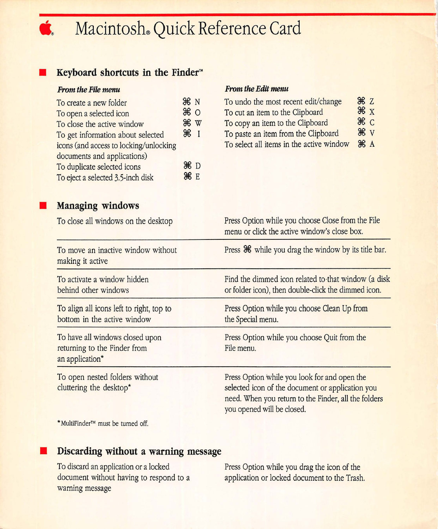# **Macintosh® Quick Reference Card**

## • **Keyboard shortcuts in the Finder™**

#### **From** *the* **File menu**

| To create a new folder                 | ЖN             |
|----------------------------------------|----------------|
| To open a selected icon                | $\frac{1}{26}$ |
| To close the active window             | <b>96 W</b>    |
| To get information about selected      | $\frac{1}{2}$  |
| icons (and access to locking/unlocking |                |
| documents and applications)            |                |
| To duplicate selected icons            | #D             |
| To eject a selected 3.5-inch disk      | $*$            |
|                                        |                |

#### **From** *the* **Edit menu**

| To undo the most recent edit/change      | $\mathcal{H}$ $Z$ |  |
|------------------------------------------|-------------------|--|
| To cut an item to the Clipboard          | $\frac{1}{2}$     |  |
| To copy an item to the Clipboard         | $\mathcal{H}$ C   |  |
| To paste an item from the Clipboard      | $\frac{1}{26}$ V  |  |
| To select all items in the active window | $\mathbb{R} A$    |  |

## • **Managing windows**

| To close all windows on the desktop                                                | Press Option while you choose Close from the File<br>menu or click the active window's close box.                                                                                      |
|------------------------------------------------------------------------------------|----------------------------------------------------------------------------------------------------------------------------------------------------------------------------------------|
| To move an inactive window without<br>making it active                             | Press $\mathbb{R}$ while you drag the window by its title bar.                                                                                                                         |
| To activate a window hidden<br>behind other windows                                | Find the dimmed icon related to that window (a disk<br>or folder icon), then double-click the dimmed icon.                                                                             |
| To align all icons left to right, top to<br>bottom in the active window            | Press Option while you choose Clean Up from<br>the Special menu.                                                                                                                       |
| To have all windows closed upon<br>returning to the Finder from<br>an application* | Press Option while you choose Quit from the<br>File menu.                                                                                                                              |
| To open nested folders without<br>cluttering the desktop*                          | Press Option while you look for and open the<br>selected icon of the document or application you<br>need. When you return to the Finder, all the folders<br>you opened will be closed. |

\* MultiFinder™ must be turned off.

### • **Discarding without a warning message**

To discard an application or a locked document without having to respond to a warning message

Press Option while you drag the icon of the application or locked document to the Trash.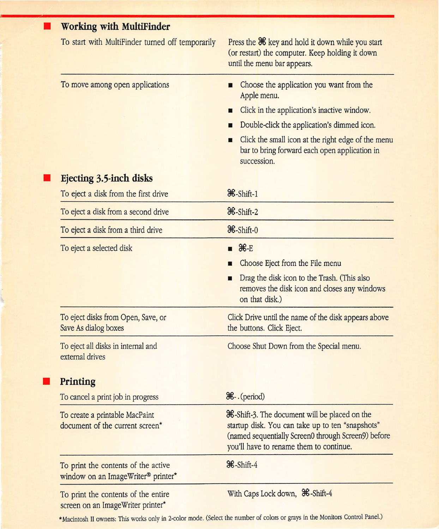| <b>Working with MultiFinder</b>                                           |                                                                                                                                                                                                                                                                                                 |
|---------------------------------------------------------------------------|-------------------------------------------------------------------------------------------------------------------------------------------------------------------------------------------------------------------------------------------------------------------------------------------------|
| To start with MultiFinder turned off temporarily                          | Press the <sup>34</sup> key and hold it down while you start<br>(or restart) the computer. Keep holding it down<br>until the menu bar appears.                                                                                                                                                  |
| To move among open applications                                           | Choose the application you want from the<br>п<br>Apple menu.<br>Click in the application's inactive window.<br>П<br>Double-click the application's dimmed icon.<br>П<br>Click the small icon at the right edge of the menu<br>п<br>bar to bring forward each open application in<br>succession. |
| Ejecting 3.5-inch disks                                                   |                                                                                                                                                                                                                                                                                                 |
| To eject a disk from the first drive                                      | <sup>36</sup> -Shift-1                                                                                                                                                                                                                                                                          |
| To eject a disk from a second drive                                       | $\mathcal{H}$ -Shift-2                                                                                                                                                                                                                                                                          |
| To eject a disk from a third drive                                        | <b>36-Shift-0</b>                                                                                                                                                                                                                                                                               |
| To eject a selected disk                                                  | $H = E$<br>Choose Eject from the File menu                                                                                                                                                                                                                                                      |
|                                                                           | Drag the disk icon to the Trash. (This also<br>removes the disk icon and closes any windows<br>on that disk.)                                                                                                                                                                                   |
| To eject disks from Open, Save, or<br>Save As dialog boxes                | Click Drive until the name of the disk appears above<br>the buttons. Click Eject.                                                                                                                                                                                                               |
| To eject all disks in internal and<br>external drives                     | Choose Shut Down from the Special menu.                                                                                                                                                                                                                                                         |
| Printing                                                                  |                                                                                                                                                                                                                                                                                                 |
| To cancel a print job in progress                                         | <b>H-</b> . (period)                                                                                                                                                                                                                                                                            |
| To create a printable MacPaint<br>document of the current screen*         | <b>36</b> -Shift-3. The document will be placed on the<br>startup disk. You can take up to ten "snapshots"<br>(named sequentially Screen0 through Screen9) before<br>you'll have to rename them to continue.                                                                                    |
| To print the contents of the active<br>window on an ImageWriter® printer* | <b>36-Shift-4</b>                                                                                                                                                                                                                                                                               |
| To print the contents of the entire<br>screen on an ImageWriter printer*  | With Caps Lock down, <sup>36</sup> -Shift-4                                                                                                                                                                                                                                                     |

\*Macintosh II owners: This works only in 2-color mode. (Select the number of colors or grays in the Monitors Control Panel.)